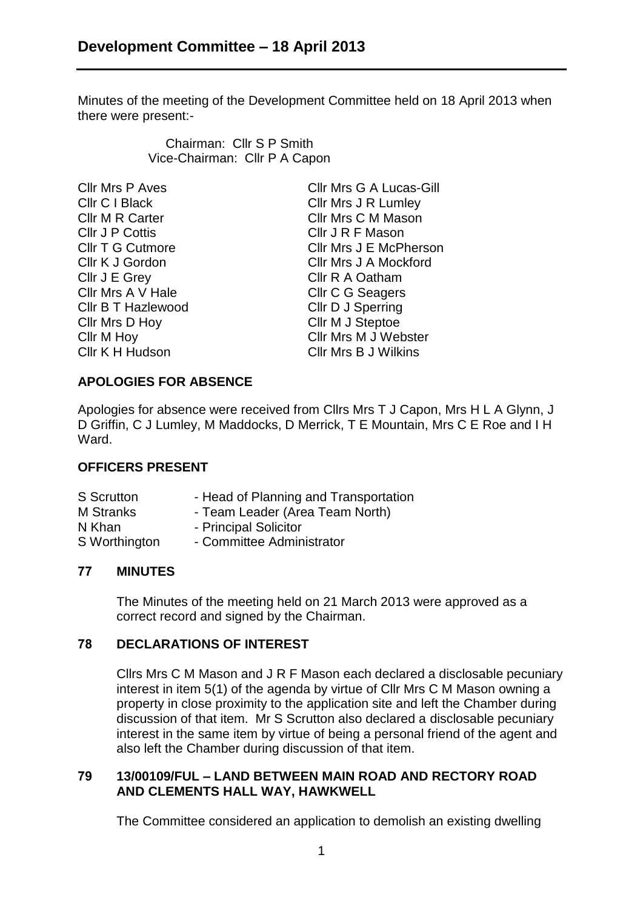Minutes of the meeting of the Development Committee held on 18 April 2013 when there were present:-

> Chairman: Cllr S P Smith Vice-Chairman: Cllr P A Capon

| Cllr Mrs P Aves    |
|--------------------|
| Cllr C I Black     |
| Cllr M R Carter    |
| Cllr J P Cottis    |
| Cllr T G Cutmore   |
| Cllr K J Gordon    |
| Cllr J E Grey      |
| Cllr Mrs A V Hale  |
| Cllr B T Hazlewood |
| Cllr Mrs D Hoy     |
| Cllr M Hoy         |
| Cllr K H Hudson    |
|                    |

Cllr Mrs G A Lucas-Gill Cllr Mrs J R Lumley Cllr Mrs C M Mason Cllr J R F Mason Cllr Mrs J E McPherson Cllr Mrs J A Mockford Cllr R A Oatham Cllr C G Seagers Cllr D J Sperring Cllr M J Steptoe Cllr Mrs M J Webster Cllr Mrs B J Wilkins

# **APOLOGIES FOR ABSENCE**

Apologies for absence were received from Cllrs Mrs T J Capon, Mrs H L A Glynn, J D Griffin, C J Lumley, M Maddocks, D Merrick, T E Mountain, Mrs C E Roe and I H Ward.

## **OFFICERS PRESENT**

| S Scrutton    | - Head of Planning and Transportation |
|---------------|---------------------------------------|
| M Stranks     | - Team Leader (Area Team North)       |
| N Khan        | - Principal Solicitor                 |
| S Worthington | - Committee Administrator             |

## **77 MINUTES**

The Minutes of the meeting held on 21 March 2013 were approved as a correct record and signed by the Chairman.

## **78 DECLARATIONS OF INTEREST**

Cllrs Mrs C M Mason and J R F Mason each declared a disclosable pecuniary interest in item 5(1) of the agenda by virtue of Cllr Mrs C M Mason owning a property in close proximity to the application site and left the Chamber during discussion of that item. Mr S Scrutton also declared a disclosable pecuniary interest in the same item by virtue of being a personal friend of the agent and also left the Chamber during discussion of that item.

#### **79 13/00109/FUL – LAND BETWEEN MAIN ROAD AND RECTORY ROAD AND CLEMENTS HALL WAY, HAWKWELL**

The Committee considered an application to demolish an existing dwelling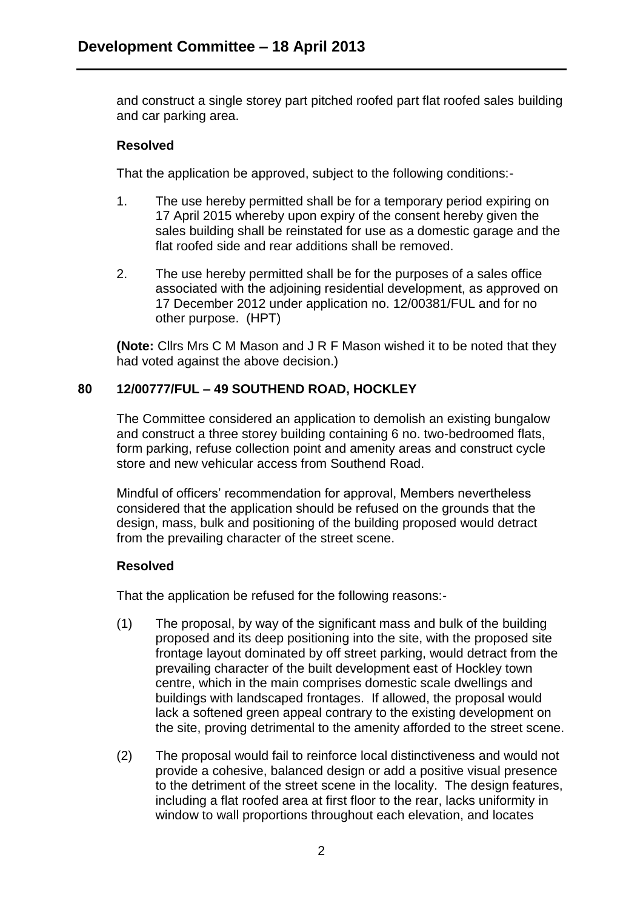and construct a single storey part pitched roofed part flat roofed sales building and car parking area.

### **Resolved**

That the application be approved, subject to the following conditions:-

- 1. The use hereby permitted shall be for a temporary period expiring on 17 April 2015 whereby upon expiry of the consent hereby given the sales building shall be reinstated for use as a domestic garage and the flat roofed side and rear additions shall be removed.
- 2. The use hereby permitted shall be for the purposes of a sales office associated with the adjoining residential development, as approved on 17 December 2012 under application no. 12/00381/FUL and for no other purpose. (HPT)

**(Note:** Cllrs Mrs C M Mason and J R F Mason wished it to be noted that they had voted against the above decision.)

### **80 12/00777/FUL – 49 SOUTHEND ROAD, HOCKLEY**

The Committee considered an application to demolish an existing bungalow and construct a three storey building containing 6 no. two-bedroomed flats, form parking, refuse collection point and amenity areas and construct cycle store and new vehicular access from Southend Road.

Mindful of officers' recommendation for approval, Members nevertheless considered that the application should be refused on the grounds that the design, mass, bulk and positioning of the building proposed would detract from the prevailing character of the street scene.

## **Resolved**

That the application be refused for the following reasons:-

- (1) The proposal, by way of the significant mass and bulk of the building proposed and its deep positioning into the site, with the proposed site frontage layout dominated by off street parking, would detract from the prevailing character of the built development east of Hockley town centre, which in the main comprises domestic scale dwellings and buildings with landscaped frontages. If allowed, the proposal would lack a softened green appeal contrary to the existing development on the site, proving detrimental to the amenity afforded to the street scene.
- (2) The proposal would fail to reinforce local distinctiveness and would not provide a cohesive, balanced design or add a positive visual presence to the detriment of the street scene in the locality. The design features, including a flat roofed area at first floor to the rear, lacks uniformity in window to wall proportions throughout each elevation, and locates